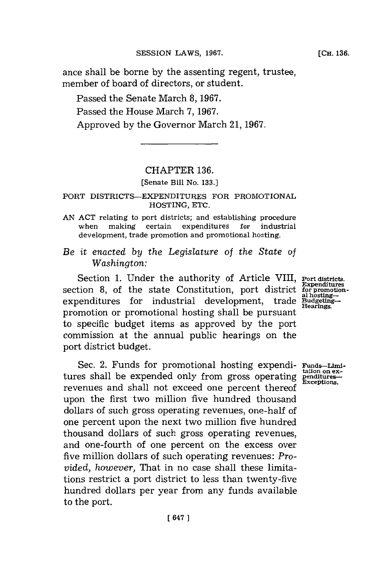ance shall be borne **by** the assenting regent, trustee, member of board of directors, or student.

Passed the Senate March **8, 1967.** Passed the House March **7, 1967.** Approved **by** the Governor March 21, **1967.**

## CHAPTER **136.**

[Senate Bill No. **133.]**

## PORT DISTRICTS-EXPENDITURES FOR PROMOTIONAL HOSTING, **ETC.**

- **AN ACT** relating to port districts; and establishing procedure when making certain expenditures for industrial development, trade promotion and promotional hosting.
- *Be it enacted by the Legislature of the State of Washington:*

Section 1. Under the authority of Article VIII, **Port districts.**<br>Expenditures section 8, of the state Constitution, port district  $\frac{\text{expendatures}}{\text{al hosting}}$ expenditures for industrial development, trade Budgetingpromotion or promotional hosting shall be pursuant to specific budget items as approved **by** the port commission at the annual public hearings on the port district budget.

Sec. 2. Funds for promotional hosting expendi- **Funds-Limi**-<br>es shall be expended only from gross operating penditures-<br><u>Exceptions</u>. tures shall be expended only from gross operating revenues and shall not exceed one percent thereof upon the first two million five hundred thousand dollars of such gross operating revenues, one-hall of one percent upon the next two million five hundred thousand dollars of such gross operating revenues, and one-fourth of one percent on the excess over five million dollars of such operating revenues: *Provided, however,* That in no case shall these limitations restrict a port district to less than twenty-five hundred dollars per year from any funds available to the port.

**[CH. 136.**